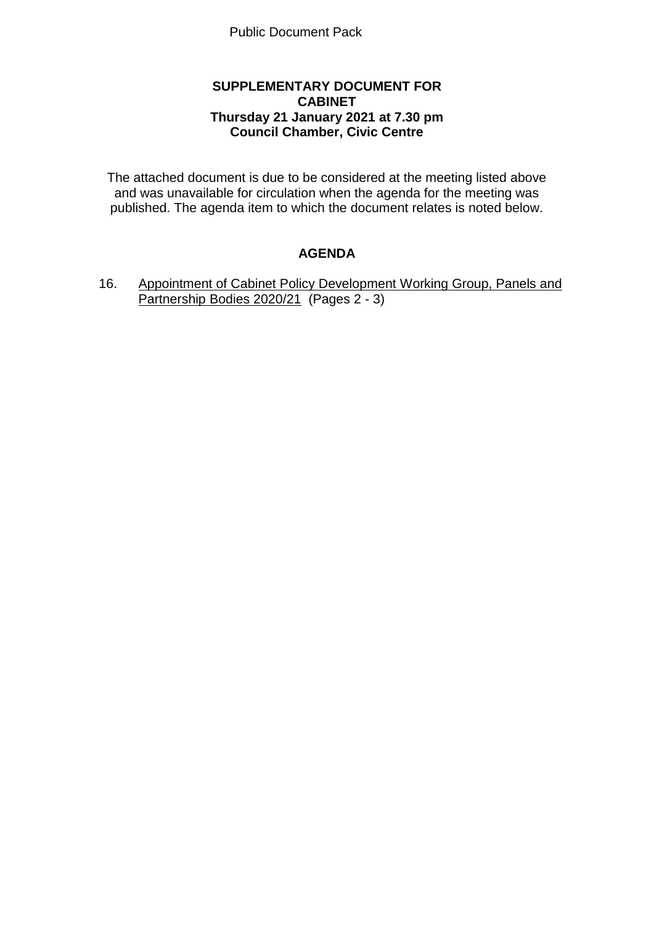## **SUPPLEMENTARY DOCUMENT FOR CABINET Thursday 21 January 2021 at 7.30 pm Council Chamber, Civic Centre**

The attached document is due to be considered at the meeting listed above and was unavailable for circulation when the agenda for the meeting was published. The agenda item to which the document relates is noted below.

## **AGENDA**

16. Appointment of Cabinet Policy Development Working Group, Panels and Partnership Bodies 2020/21 (Pages 2 - 3)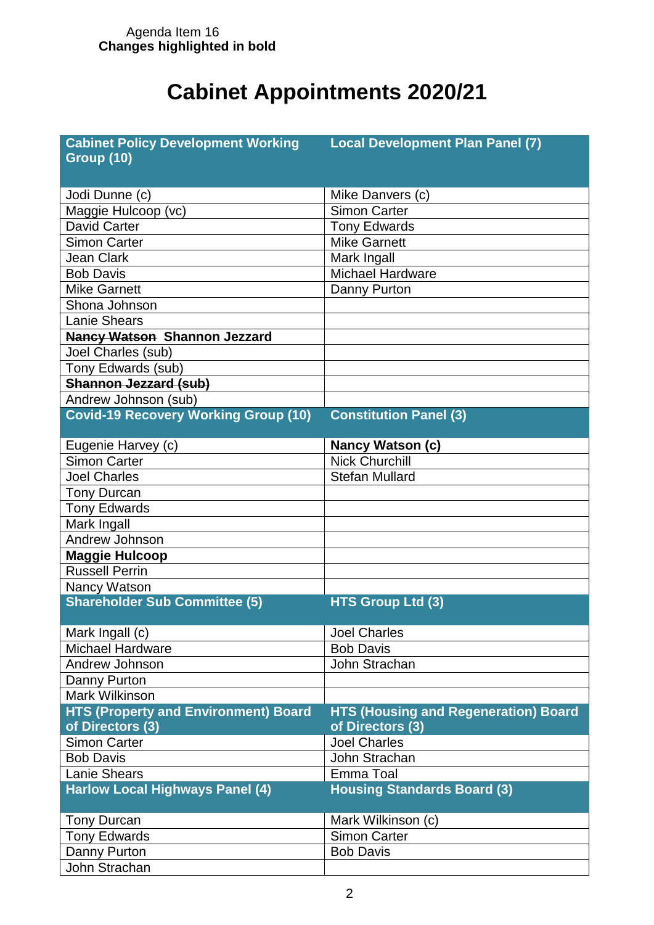## **Cabinet Appointments 2020/21**

| <b>Cabinet Policy Development Working</b>   | <b>Local Development Plan Panel (7)</b>     |
|---------------------------------------------|---------------------------------------------|
| <b>Group (10)</b>                           |                                             |
|                                             |                                             |
| Jodi Dunne (c)                              | Mike Danvers (c)                            |
| Maggie Hulcoop (vc)                         | <b>Simon Carter</b>                         |
| <b>David Carter</b>                         | <b>Tony Edwards</b>                         |
| <b>Simon Carter</b>                         | <b>Mike Garnett</b>                         |
| <b>Jean Clark</b>                           | Mark Ingall                                 |
| <b>Bob Davis</b>                            | <b>Michael Hardware</b>                     |
| <b>Mike Garnett</b>                         | Danny Purton                                |
| Shona Johnson                               |                                             |
| <b>Lanie Shears</b>                         |                                             |
| <b>Nancy Watson Shannon Jezzard</b>         |                                             |
| Joel Charles (sub)                          |                                             |
| Tony Edwards (sub)                          |                                             |
| Shannon Jezzard (sub)                       |                                             |
| Andrew Johnson (sub)                        |                                             |
| <b>Covid-19 Recovery Working Group (10)</b> | <b>Constitution Panel (3)</b>               |
|                                             |                                             |
| Eugenie Harvey (c)                          | <b>Nancy Watson (c)</b>                     |
| <b>Simon Carter</b>                         | <b>Nick Churchill</b>                       |
| <b>Joel Charles</b>                         | <b>Stefan Mullard</b>                       |
| <b>Tony Durcan</b>                          |                                             |
| <b>Tony Edwards</b>                         |                                             |
| Mark Ingall                                 |                                             |
| Andrew Johnson                              |                                             |
| Maggie Hulcoop                              |                                             |
| <b>Russell Perrin</b>                       |                                             |
| Nancy Watson                                |                                             |
| <b>Shareholder Sub Committee (5)</b>        | <b>HTS Group Ltd (3)</b>                    |
|                                             |                                             |
| Mark Ingall (c)                             | <b>Joel Charles</b>                         |
| Michael Hardware                            | <b>Bob Davis</b>                            |
| Andrew Johnson                              | John Strachan                               |
| Danny Purton                                |                                             |
| <b>Mark Wilkinson</b>                       |                                             |
| <b>HTS (Property and Environment) Board</b> | <b>HTS (Housing and Regeneration) Board</b> |
| of Directors (3)                            | of Directors (3)                            |
| <b>Simon Carter</b>                         | <b>Joel Charles</b>                         |
| <b>Bob Davis</b>                            | John Strachan                               |
| <b>Lanie Shears</b>                         | Emma Toal                                   |
| <b>Harlow Local Highways Panel (4)</b>      | <b>Housing Standards Board (3)</b>          |
|                                             |                                             |
| <b>Tony Durcan</b>                          | Mark Wilkinson (c)                          |
| <b>Tony Edwards</b>                         | <b>Simon Carter</b>                         |
| Danny Purton                                | <b>Bob Davis</b>                            |
| John Strachan                               |                                             |